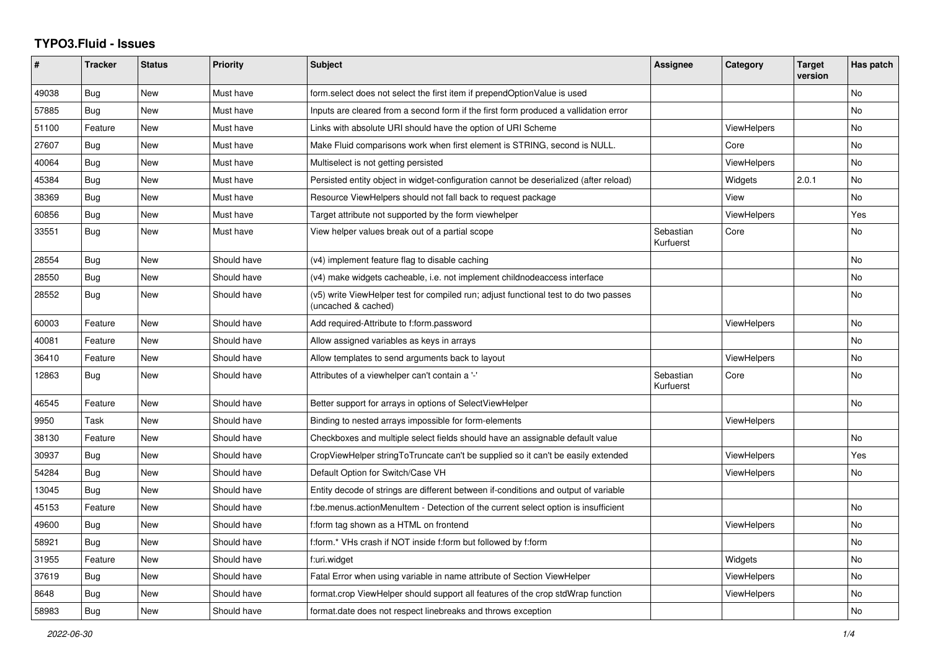## **TYPO3.Fluid - Issues**

| ∦     | <b>Tracker</b> | <b>Status</b> | <b>Priority</b> | Subject                                                                                                     | Assignee               | Category           | <b>Target</b><br>version | Has patch      |
|-------|----------------|---------------|-----------------|-------------------------------------------------------------------------------------------------------------|------------------------|--------------------|--------------------------|----------------|
| 49038 | <b>Bug</b>     | New           | Must have       | form.select does not select the first item if prependOptionValue is used                                    |                        |                    |                          | No             |
| 57885 | Bug            | New           | Must have       | Inputs are cleared from a second form if the first form produced a vallidation error                        |                        |                    |                          | <b>No</b>      |
| 51100 | Feature        | <b>New</b>    | Must have       | Links with absolute URI should have the option of URI Scheme                                                |                        | <b>ViewHelpers</b> |                          | No.            |
| 27607 | Bug            | <b>New</b>    | Must have       | Make Fluid comparisons work when first element is STRING, second is NULL.                                   |                        | Core               |                          | No             |
| 40064 | Bug            | New           | Must have       | Multiselect is not getting persisted                                                                        |                        | <b>ViewHelpers</b> |                          | <b>No</b>      |
| 45384 | Bug            | New           | Must have       | Persisted entity object in widget-configuration cannot be deserialized (after reload)                       |                        | Widgets            | 2.0.1                    | No             |
| 38369 | Bug            | New           | Must have       | Resource ViewHelpers should not fall back to request package                                                |                        | View               |                          | No             |
| 60856 | Bug            | New           | Must have       | Target attribute not supported by the form viewhelper                                                       |                        | ViewHelpers        |                          | Yes            |
| 33551 | Bug            | New           | Must have       | View helper values break out of a partial scope                                                             | Sebastian<br>Kurfuerst | Core               |                          | No             |
| 28554 | <b>Bug</b>     | <b>New</b>    | Should have     | (v4) implement feature flag to disable caching                                                              |                        |                    |                          | <b>No</b>      |
| 28550 | Bug            | New           | Should have     | (v4) make widgets cacheable, i.e. not implement childnodeaccess interface                                   |                        |                    |                          | No             |
| 28552 | Bug            | New           | Should have     | (v5) write ViewHelper test for compiled run; adjust functional test to do two passes<br>(uncached & cached) |                        |                    |                          | No             |
| 60003 | Feature        | <b>New</b>    | Should have     | Add required-Attribute to f:form.password                                                                   |                        | <b>ViewHelpers</b> |                          | No             |
| 40081 | Feature        | <b>New</b>    | Should have     | Allow assigned variables as keys in arrays                                                                  |                        |                    |                          | No             |
| 36410 | Feature        | New           | Should have     | Allow templates to send arguments back to layout                                                            |                        | <b>ViewHelpers</b> |                          | No             |
| 12863 | Bug            | New           | Should have     | Attributes of a viewhelper can't contain a '-'                                                              | Sebastian<br>Kurfuerst | Core               |                          | No             |
| 46545 | Feature        | New           | Should have     | Better support for arrays in options of SelectViewHelper                                                    |                        |                    |                          | No             |
| 9950  | Task           | New           | Should have     | Binding to nested arrays impossible for form-elements                                                       |                        | ViewHelpers        |                          |                |
| 38130 | Feature        | <b>New</b>    | Should have     | Checkboxes and multiple select fields should have an assignable default value                               |                        |                    |                          | N <sub>o</sub> |
| 30937 | Bug            | New           | Should have     | CropViewHelper stringToTruncate can't be supplied so it can't be easily extended                            |                        | <b>ViewHelpers</b> |                          | Yes            |
| 54284 | Bug            | New           | Should have     | Default Option for Switch/Case VH                                                                           |                        | <b>ViewHelpers</b> |                          | No             |
| 13045 | Bug            | <b>New</b>    | Should have     | Entity decode of strings are different between if-conditions and output of variable                         |                        |                    |                          |                |
| 45153 | Feature        | <b>New</b>    | Should have     | f:be.menus.actionMenuItem - Detection of the current select option is insufficient                          |                        |                    |                          | No             |
| 49600 | Bug            | New           | Should have     | f:form tag shown as a HTML on frontend                                                                      |                        | ViewHelpers        |                          | No.            |
| 58921 | Bug            | New           | Should have     | f:form.* VHs crash if NOT inside f:form but followed by f:form                                              |                        |                    |                          | No             |
| 31955 | Feature        | <b>New</b>    | Should have     | f:uri.widget                                                                                                |                        | Widgets            |                          | No.            |
| 37619 | Bug            | <b>New</b>    | Should have     | Fatal Error when using variable in name attribute of Section ViewHelper                                     |                        | ViewHelpers        |                          | No             |
| 8648  | Bug            | New           | Should have     | format.crop ViewHelper should support all features of the crop stdWrap function                             |                        | <b>ViewHelpers</b> |                          | No             |
| 58983 | Bug            | New           | Should have     | format.date does not respect linebreaks and throws exception                                                |                        |                    |                          | No             |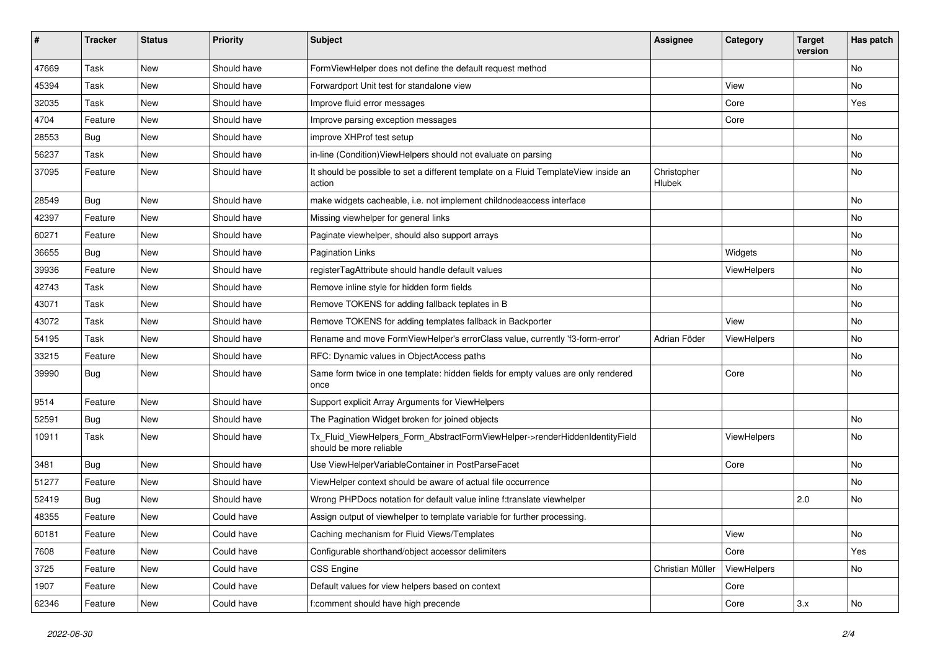| #     | <b>Tracker</b> | <b>Status</b> | <b>Priority</b> | <b>Subject</b>                                                                                         | <b>Assignee</b>       | Category    | <b>Target</b><br>version | Has patch |
|-------|----------------|---------------|-----------------|--------------------------------------------------------------------------------------------------------|-----------------------|-------------|--------------------------|-----------|
| 47669 | Task           | New           | Should have     | FormViewHelper does not define the default request method                                              |                       |             |                          | <b>No</b> |
| 45394 | Task           | New           | Should have     | Forwardport Unit test for standalone view                                                              |                       | View        |                          | No        |
| 32035 | Task           | New           | Should have     | Improve fluid error messages                                                                           |                       | Core        |                          | Yes       |
| 4704  | Feature        | <b>New</b>    | Should have     | Improve parsing exception messages                                                                     |                       | Core        |                          |           |
| 28553 | Bug            | New           | Should have     | improve XHProf test setup                                                                              |                       |             |                          | No        |
| 56237 | Task           | New           | Should have     | in-line (Condition) ViewHelpers should not evaluate on parsing                                         |                       |             |                          | No        |
| 37095 | Feature        | New           | Should have     | It should be possible to set a different template on a Fluid TemplateView inside an<br>action          | Christopher<br>Hlubek |             |                          | No        |
| 28549 | Bug            | New           | Should have     | make widgets cacheable, i.e. not implement childnodeaccess interface                                   |                       |             |                          | No        |
| 42397 | Feature        | New           | Should have     | Missing viewhelper for general links                                                                   |                       |             |                          | No        |
| 60271 | Feature        | New           | Should have     | Paginate viewhelper, should also support arrays                                                        |                       |             |                          | No        |
| 36655 | Bug            | New           | Should have     | <b>Pagination Links</b>                                                                                |                       | Widgets     |                          | No        |
| 39936 | Feature        | New           | Should have     | registerTagAttribute should handle default values                                                      |                       | ViewHelpers |                          | No        |
| 42743 | Task           | New           | Should have     | Remove inline style for hidden form fields                                                             |                       |             |                          | No        |
| 43071 | Task           | New           | Should have     | Remove TOKENS for adding fallback teplates in B                                                        |                       |             |                          | No        |
| 43072 | Task           | New           | Should have     | Remove TOKENS for adding templates fallback in Backporter                                              |                       | View        |                          | No        |
| 54195 | Task           | <b>New</b>    | Should have     | Rename and move FormViewHelper's errorClass value, currently 'f3-form-error'                           | Adrian Föder          | ViewHelpers |                          | No        |
| 33215 | Feature        | New           | Should have     | RFC: Dynamic values in ObjectAccess paths                                                              |                       |             |                          | No        |
| 39990 | Bug            | New           | Should have     | Same form twice in one template: hidden fields for empty values are only rendered<br>once              |                       | Core        |                          | No        |
| 9514  | Feature        | <b>New</b>    | Should have     | Support explicit Array Arguments for ViewHelpers                                                       |                       |             |                          |           |
| 52591 | Bug            | New           | Should have     | The Pagination Widget broken for joined objects                                                        |                       |             |                          | No        |
| 10911 | Task           | New           | Should have     | Tx_Fluid_ViewHelpers_Form_AbstractFormViewHelper->renderHiddenIdentityField<br>should be more reliable |                       | ViewHelpers |                          | No        |
| 3481  | Bug            | <b>New</b>    | Should have     | Use ViewHelperVariableContainer in PostParseFacet                                                      |                       | Core        |                          | No        |
| 51277 | Feature        | New           | Should have     | ViewHelper context should be aware of actual file occurrence                                           |                       |             |                          | No        |
| 52419 | Bug            | New           | Should have     | Wrong PHPDocs notation for default value inline f:translate viewhelper                                 |                       |             | 2.0                      | <b>No</b> |
| 48355 | Feature        | New           | Could have      | Assign output of viewhelper to template variable for further processing.                               |                       |             |                          |           |
| 60181 | Feature        | New           | Could have      | Caching mechanism for Fluid Views/Templates                                                            |                       | View        |                          | No        |
| 7608  | Feature        | New           | Could have      | Configurable shorthand/object accessor delimiters                                                      |                       | Core        |                          | Yes       |
| 3725  | Feature        | New           | Could have      | CSS Engine                                                                                             | Christian Müller      | ViewHelpers |                          | No        |
| 1907  | Feature        | New           | Could have      | Default values for view helpers based on context                                                       |                       | Core        |                          |           |
| 62346 | Feature        | New           | Could have      | f:comment should have high precende                                                                    |                       | Core        | 3.x                      | No        |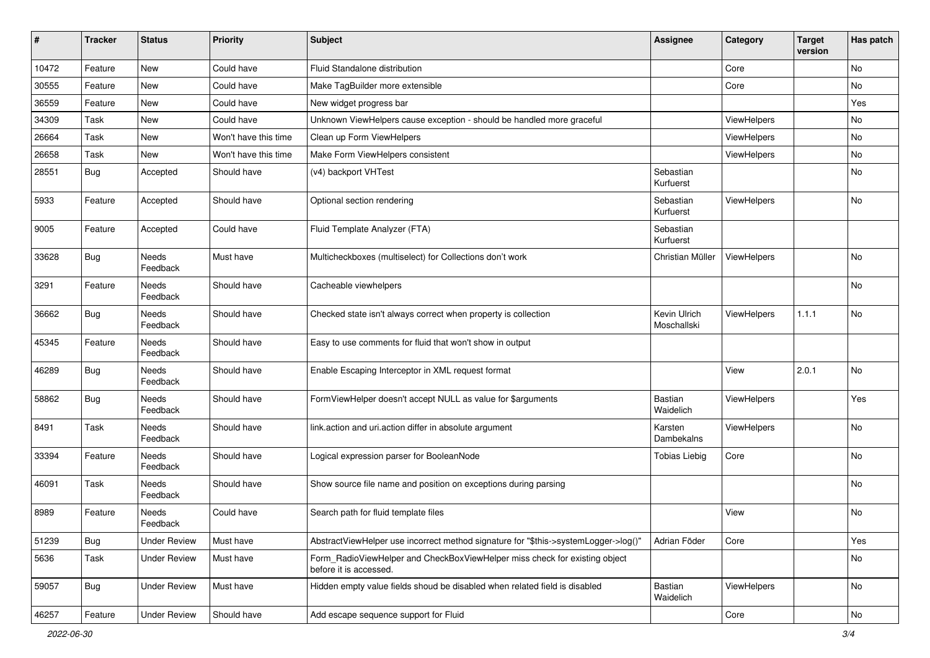| #     | <b>Tracker</b> | <b>Status</b>       | <b>Priority</b>      | Subject                                                                                              | <b>Assignee</b>             | Category    | <b>Target</b><br>version | Has patch      |
|-------|----------------|---------------------|----------------------|------------------------------------------------------------------------------------------------------|-----------------------------|-------------|--------------------------|----------------|
| 10472 | Feature        | New                 | Could have           | Fluid Standalone distribution                                                                        |                             | Core        |                          | No             |
| 30555 | Feature        | New                 | Could have           | Make TagBuilder more extensible                                                                      |                             | Core        |                          | No             |
| 36559 | Feature        | New                 | Could have           | New widget progress bar                                                                              |                             |             |                          | Yes            |
| 34309 | Task           | New                 | Could have           | Unknown ViewHelpers cause exception - should be handled more graceful                                |                             | ViewHelpers |                          | No             |
| 26664 | Task           | New                 | Won't have this time | Clean up Form ViewHelpers                                                                            |                             | ViewHelpers |                          | No             |
| 26658 | Task           | New                 | Won't have this time | Make Form ViewHelpers consistent                                                                     |                             | ViewHelpers |                          | No             |
| 28551 | Bug            | Accepted            | Should have          | (v4) backport VHTest                                                                                 | Sebastian<br>Kurfuerst      |             |                          | No             |
| 5933  | Feature        | Accepted            | Should have          | Optional section rendering                                                                           | Sebastian<br>Kurfuerst      | ViewHelpers |                          | No             |
| 9005  | Feature        | Accepted            | Could have           | Fluid Template Analyzer (FTA)                                                                        | Sebastian<br>Kurfuerst      |             |                          |                |
| 33628 | <b>Bug</b>     | Needs<br>Feedback   | Must have            | Multicheckboxes (multiselect) for Collections don't work                                             | Christian Müller            | ViewHelpers |                          | No             |
| 3291  | Feature        | Needs<br>Feedback   | Should have          | Cacheable viewhelpers                                                                                |                             |             |                          | N <sub>o</sub> |
| 36662 | Bug            | Needs<br>Feedback   | Should have          | Checked state isn't always correct when property is collection                                       | Kevin Ulrich<br>Moschallski | ViewHelpers | 1.1.1                    | No             |
| 45345 | Feature        | Needs<br>Feedback   | Should have          | Easy to use comments for fluid that won't show in output                                             |                             |             |                          |                |
| 46289 | Bug            | Needs<br>Feedback   | Should have          | Enable Escaping Interceptor in XML request format                                                    |                             | View        | 2.0.1                    | No             |
| 58862 | Bug            | Needs<br>Feedback   | Should have          | FormViewHelper doesn't accept NULL as value for \$arguments                                          | Bastian<br>Waidelich        | ViewHelpers |                          | Yes            |
| 8491  | Task           | Needs<br>Feedback   | Should have          | link.action and uri.action differ in absolute argument                                               | Karsten<br>Dambekalns       | ViewHelpers |                          | No             |
| 33394 | Feature        | Needs<br>Feedback   | Should have          | Logical expression parser for BooleanNode                                                            | <b>Tobias Liebig</b>        | Core        |                          | No             |
| 46091 | Task           | Needs<br>Feedback   | Should have          | Show source file name and position on exceptions during parsing                                      |                             |             |                          | No             |
| 8989  | Feature        | Needs<br>Feedback   | Could have           | Search path for fluid template files                                                                 |                             | View        |                          | <b>No</b>      |
| 51239 | Bug            | <b>Under Review</b> | Must have            | AbstractViewHelper use incorrect method signature for "\$this->systemLogger->log()"                  | Adrian Föder                | Core        |                          | Yes            |
| 5636  | Task           | <b>Under Review</b> | Must have            | Form_RadioViewHelper and CheckBoxViewHelper miss check for existing object<br>before it is accessed. |                             |             |                          | No             |
| 59057 | Bug            | <b>Under Review</b> | Must have            | Hidden empty value fields shoud be disabled when related field is disabled                           | Bastian<br>Waidelich        | ViewHelpers |                          | No             |
| 46257 | Feature        | <b>Under Review</b> | Should have          | Add escape sequence support for Fluid                                                                |                             | Core        |                          | No             |